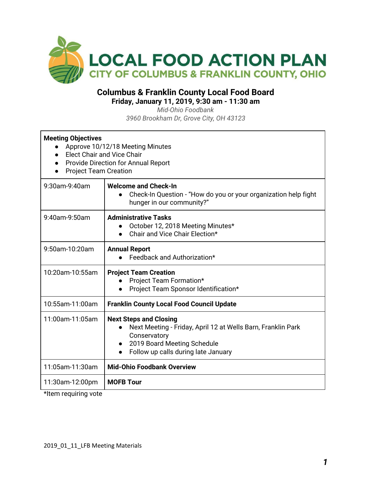

## **Columbus & Franklin County Local Food Board Friday, January 11, 2019, 9:30 am - 11:30 am**

*Mid-Ohio Foodbank 3960 Brookham Dr, Grove City, OH 43123*

| <b>Meeting Objectives</b><br>Approve 10/12/18 Meeting Minutes<br><b>Elect Chair and Vice Chair</b><br>Provide Direction for Annual Report<br><b>Project Team Creation</b> |                                                                                                                                                                                                               |  |  |
|---------------------------------------------------------------------------------------------------------------------------------------------------------------------------|---------------------------------------------------------------------------------------------------------------------------------------------------------------------------------------------------------------|--|--|
| 9:30am-9:40am                                                                                                                                                             | <b>Welcome and Check-In</b><br>Check-In Question - "How do you or your organization help fight<br>hunger in our community?"                                                                                   |  |  |
| 9:40am-9:50am                                                                                                                                                             | <b>Administrative Tasks</b><br>October 12, 2018 Meeting Minutes*<br>$\bullet$<br>Chair and Vice Chair Election*                                                                                               |  |  |
| 9:50am-10:20am                                                                                                                                                            | <b>Annual Report</b><br>Feedback and Authorization*                                                                                                                                                           |  |  |
| 10:20am-10:55am                                                                                                                                                           | <b>Project Team Creation</b><br>Project Team Formation*<br>Project Team Sponsor Identification*<br>$\bullet$                                                                                                  |  |  |
| 10:55am-11:00am                                                                                                                                                           | <b>Franklin County Local Food Council Update</b>                                                                                                                                                              |  |  |
| 11:00am-11:05am                                                                                                                                                           | <b>Next Steps and Closing</b><br>Next Meeting - Friday, April 12 at Wells Barn, Franklin Park<br>Conservatory<br>2019 Board Meeting Schedule<br>$\bullet$<br>Follow up calls during late January<br>$\bullet$ |  |  |
| 11:05am-11:30am                                                                                                                                                           | <b>Mid-Ohio Foodbank Overview</b>                                                                                                                                                                             |  |  |
| 11:30am-12:00pm                                                                                                                                                           | <b>MOFB Tour</b>                                                                                                                                                                                              |  |  |

\*Item requiring vote